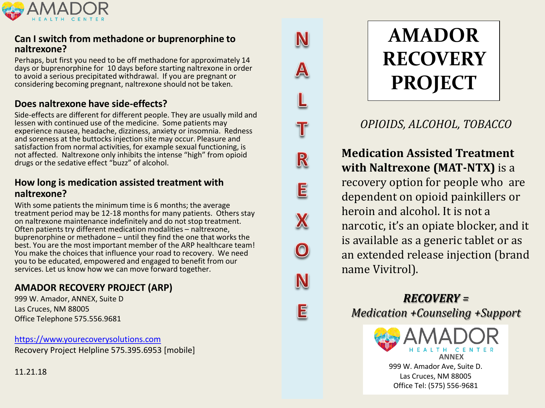

## **Can I switch from methadone or buprenorphine to naltrexone?**

Perhaps, but first you need to be off methadone for approximately 14 days or buprenorphine for 10 days before starting naltrexone in order to avoid a serious precipitated withdrawal. If you are pregnant or considering becoming pregnant, naltrexone should not be taken.

# **Does naltrexone have side-effects?**

Side-effects are different for different people. They are usually mild and lessen with continued use of the medicine. Some patients may experience nausea, headache, dizziness, anxiety or insomnia. Redness and soreness at the buttocks injection site may occur. Pleasure and satisfaction from normal activities, for example sexual functioning, is not affected. Naltrexone only inhibits the intense "high" from opioid drugs or the sedative effect "buzz" of alcohol.

# **How long is medication assisted treatment with naltrexone?**

With some patients the minimum time is 6 months; the average treatment period may be 12-18 months for many patients. Others stay on naltrexone maintenance indefinitely and do not stop treatment. Often patients try different medication modalities – naltrexone, buprenorphine or methadone – until they find the one that works the best. You are the most important member of the ARP healthcare team! You make the choices that influence your road to recovery. We need you to be educated, empowered and engaged to benefit from our services. Let us know how we can move forward together.

# **AMADOR RECOVERY PROJECT (ARP)**

999 W. Amador, ANNEX, Suite D Las Cruces, NM 88005 Office Telephone 575.556.9681

[https://www.yourecoverysolutions.com](https://www.yourecoverysolutions.com/) Recovery Project Helpline 575.395.6953 [mobile]

**AMADOR RECOVERY PROJECT**

N

T

R

E

 $\boldsymbol{\mathsf{X}}$ 

N

 $\mathsf E$ 

*OPIOIDS, ALCOHOL, TOBACCO*

**Medication Assisted Treatment with Naltrexone (MAT-NTX)** is a recovery option for people who are dependent on opioid painkillers or heroin and alcohol. It is not a narcotic, it's an opiate blocker, and it is available as a generic tablet or as an extended release injection (brand name Vivitrol).

*RECOVERY = Medication +Counseling +Support*



11.21.18